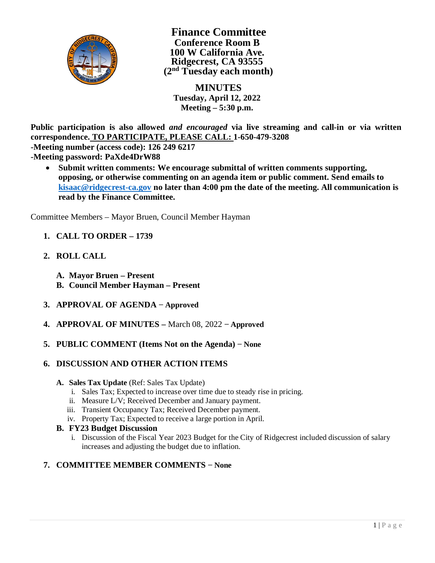

**Finance Committee Conference Room B 100 W California Ave. Ridgecrest, CA 93555 (2nd Tuesday each month)**

 **MINUTES Tuesday, April 12, 2022 Meeting – 5:30 p.m.**

**Public participation is also allowed** *and encouraged* **via live streaming and call-in or via written correspondence. TO PARTICIPATE, PLEASE CALL: 1-650-479-3208**

**-Meeting number (access code): 126 249 6217**

**-Meeting password: PaXde4DrW88**

· **Submit written comments: We encourage submittal of written comments supporting, opposing, or otherwise commenting on an agenda item or public comment. Send emails to kisaac@ridgecrest-ca.gov no later than 4:00 pm the date of the meeting. All communication is read by the Finance Committee.**

Committee Members – Mayor Bruen, Council Member Hayman

- **1. CALL TO ORDER 1739**
- **2. ROLL CALL**
	- **A. Mayor Bruen Present**
	- **B. Council Member Hayman Present**
- **3. APPROVAL OF AGENDA − Approved**
- **4. APPROVAL OF MINUTES –** March 08, 2022 **− Approved**
- **5. PUBLIC COMMENT (Items Not on the Agenda) − None**
- **6. DISCUSSION AND OTHER ACTION ITEMS**
	- **A. Sales Tax Update** (Ref: Sales Tax Update)
		- i. Sales Tax; Expected to increase over time due to steady rise in pricing.
		- ii. Measure L/V; Received December and January payment.
		- iii. Transient Occupancy Tax; Received December payment.
		- iv. Property Tax; Expected to receive a large portion in April.
	- **B. FY23 Budget Discussion**
		- i. Discussion of the Fiscal Year 2023 Budget for the City of Ridgecrest included discussion of salary increases and adjusting the budget due to inflation.

## **7. COMMITTEE MEMBER COMMENTS − None**